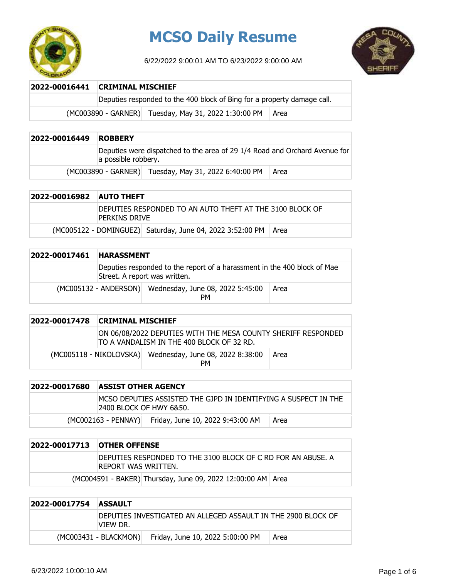

# **MCSO Daily Resume**

6/22/2022 9:00:01 AM TO 6/23/2022 9:00:00 AM



### **2022-00016441 CRIMINAL MISCHIEF**

Deputies responded to the 400 block of Bing for a property damage call.

 $(MCOO3890 - GARNER)$  Tuesday, May 31, 2022 1:30:00 PM Area

# **2022-00016449 ROBBERY** Deputies were dispatched to the area of 29 1/4 Road and Orchard Avenue for a possible robbery. (MC003890 - GARNER) Tuesday, May 31, 2022 6:40:00 PM | Area

| 2022-00016982 AUTO THEFT |               |                                                                  |  |
|--------------------------|---------------|------------------------------------------------------------------|--|
|                          | Perkins Drive | DEPUTIES RESPONDED TO AN AUTO THEFT AT THE 3100 BLOCK OF         |  |
|                          |               | (MC005122 - DOMINGUEZ) Saturday, June 04, 2022 3:52:00 PM   Area |  |

| 2022-00017461 | <b>HARASSMENT</b>                                                                                         |                                                                     |      |
|---------------|-----------------------------------------------------------------------------------------------------------|---------------------------------------------------------------------|------|
|               | Deputies responded to the report of a harassment in the 400 block of Mae<br>Street. A report was written. |                                                                     |      |
|               |                                                                                                           | (MC005132 - ANDERSON) Wednesday, June 08, 2022 5:45:00<br><b>PM</b> | Area |

| 2022-00017478 | CRIMINAL MISCHIEF |                                                                                                            |      |
|---------------|-------------------|------------------------------------------------------------------------------------------------------------|------|
|               |                   | ON 06/08/2022 DEPUTIES WITH THE MESA COUNTY SHERIFF RESPONDED<br>TO A VANDALISM IN THE 400 BLOCK OF 32 RD. |      |
|               |                   | (MC005118 - NIKOLOVSKA) Wednesday, June 08, 2022 8:38:00<br>PМ                                             | Area |

| 2022-00017680 | ASSIST OTHER AGENCY                                                                         |                                                      |      |
|---------------|---------------------------------------------------------------------------------------------|------------------------------------------------------|------|
|               | IMCSO DEPUTIES ASSISTED THE GJPD IN IDENTIFYING A SUSPECT IN THE<br>2400 BLOCK OF HWY 6&50. |                                                      |      |
|               |                                                                                             | (MC002163 - PENNAY) Friday, June 10, 2022 9:43:00 AM | Area |

| 2022-00017713 OTHER OFFENSE |                                                                                      |
|-----------------------------|--------------------------------------------------------------------------------------|
|                             | IDEPUTIES RESPONDED TO THE 3100 BLOCK OF C RD FOR AN ABUSE. A<br>REPORT WAS WRITTEN. |
|                             | (MC004591 - BAKER) Thursday, June 09, 2022 12:00:00 AM Area                          |

| 2022-00017754 ASSAULT |           |                                                                |      |
|-----------------------|-----------|----------------------------------------------------------------|------|
|                       | ivtew Dr. | IDEPUTIES INVESTIGATED AN ALLEGED ASSAULT IN THE 2900 BLOCK OF |      |
|                       |           | (MC003431 - BLACKMON) Friday, June 10, 2022 5:00:00 PM         | Area |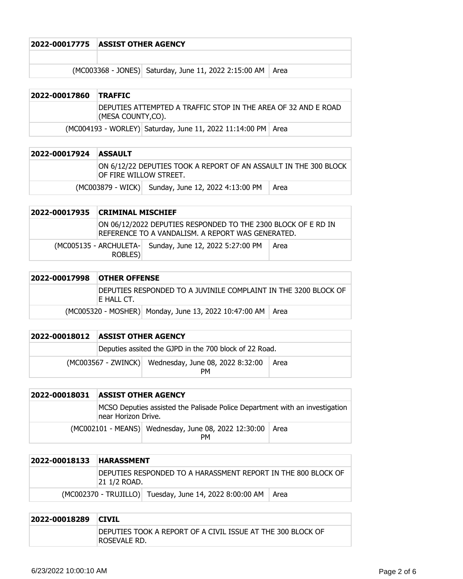|                                                              | <b>ASSIST OTHER AGENCY</b> |  |  |  | 2022-00017775 |
|--------------------------------------------------------------|----------------------------|--|--|--|---------------|
|                                                              |                            |  |  |  |               |
| (MC003368 - JONES) Saturday, June 11, 2022 2:15:00 AM   Area |                            |  |  |  |               |

| 2022-00017860 TRAFFIC |                                                                                     |                                                                |  |
|-----------------------|-------------------------------------------------------------------------------------|----------------------------------------------------------------|--|
|                       | DEPUTIES ATTEMPTED A TRAFFIC STOP IN THE AREA OF 32 AND E ROAD<br>(MESA COUNTY,CO). |                                                                |  |
|                       |                                                                                     | (MC004193 - WORLEY) Saturday, June 11, 2022 11:14:00 PM   Area |  |

| 2022-00017924 ASSAULT |                                                                                             |                                                    |      |
|-----------------------|---------------------------------------------------------------------------------------------|----------------------------------------------------|------|
|                       | ON 6/12/22 DEPUTIES TOOK A REPORT OF AN ASSAULT IN THE 300 BLOCK<br>IOF FIRE WILLOW STREET. |                                                    |      |
|                       |                                                                                             | (MC003879 - WICK) Sunday, June 12, 2022 4:13:00 PM | Area |

| 2022-00017935 CRIMINAL MISCHIEF |                                                                                                                     |      |
|---------------------------------|---------------------------------------------------------------------------------------------------------------------|------|
|                                 | ON 06/12/2022 DEPUTIES RESPONDED TO THE 2300 BLOCK OF E RD IN<br>IREFERENCE TO A VANDALISM. A REPORT WAS GENERATED. |      |
| ROBLES)                         | (MC005135 - ARCHULETA- Sunday, June 12, 2022 5:27:00 PM                                                             | Area |

| 2022-00017998 | <b>OTHER OFFENSE</b> |                                                                 |  |
|---------------|----------------------|-----------------------------------------------------------------|--|
|               | IE HALL CT.          | DEPUTIES RESPONDED TO A JUVINILE COMPLAINT IN THE 3200 BLOCK OF |  |
|               |                      | (MC005320 - MOSHER) Monday, June 13, 2022 10:47:00 AM   Area    |  |

| 2022-00018012 ASSIST OTHER AGENCY |                                                                   |      |
|-----------------------------------|-------------------------------------------------------------------|------|
|                                   | Deputies assited the GJPD in the 700 block of 22 Road.            |      |
|                                   | (MC003567 - ZWINCK) Wednesday, June 08, 2022 8:32:00<br><b>PM</b> | Area |

| 2022-00018031 | <b>ASSIST OTHER AGENCY</b>                                                                         |                                                            |      |
|---------------|----------------------------------------------------------------------------------------------------|------------------------------------------------------------|------|
|               | MCSO Deputies assisted the Palisade Police Department with an investigation<br>near Horizon Drive. |                                                            |      |
|               |                                                                                                    | (MC002101 - MEANS) Wednesday, June 08, 2022 12:30:00<br>PМ | Area |

| 2022-00018133 | <b>HARASSMENT</b>                                                               |                                                         |      |
|---------------|---------------------------------------------------------------------------------|---------------------------------------------------------|------|
|               | IDEPUTIES RESPONDED TO A HARASSMENT REPORT IN THE 800 BLOCK OF<br>121 1/2 ROAD. |                                                         |      |
|               |                                                                                 | (MC002370 - TRUJILLO) Tuesday, June 14, 2022 8:00:00 AM | Area |

| 2022-00018289 | <b>CIVIL</b>                                                                |
|---------------|-----------------------------------------------------------------------------|
|               | DEPUTIES TOOK A REPORT OF A CIVIL ISSUE AT THE 300 BLOCK OF<br>ROSEVALE RD. |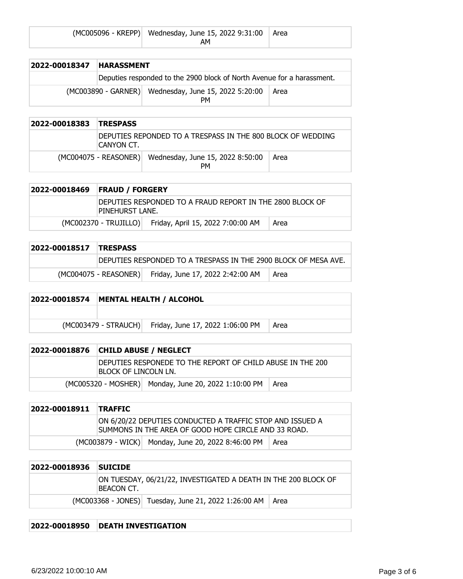| (MC005096 - KREPP) Wednesday, June 15, 2022 9:31:00 Area |  |
|----------------------------------------------------------|--|
| АΜ                                                       |  |

| 2022-00018347 | <b>HARASSMENT</b> |                                                                        |      |
|---------------|-------------------|------------------------------------------------------------------------|------|
|               |                   | Deputies responded to the 2900 block of North Avenue for a harassment. |      |
|               |                   | (MC003890 - GARNER) Wednesday, June 15, 2022 5:20:00<br><b>PM</b>      | Area |

| 2022-00018383 | <b>TRESPASS</b> |                                                                     |      |
|---------------|-----------------|---------------------------------------------------------------------|------|
|               | ICANYON CT.     | DEPUTIES REPONDED TO A TRESPASS IN THE 800 BLOCK OF WEDDING         |      |
|               |                 | (MC004075 - REASONER) Wednesday, June 15, 2022 8:50:00<br><b>PM</b> | Area |

| 2022-00018469 | <b>FRAUD / FORGERY</b>                                                       |                                                         |      |
|---------------|------------------------------------------------------------------------------|---------------------------------------------------------|------|
|               | DEPUTIES RESPONDED TO A FRAUD REPORT IN THE 2800 BLOCK OF<br>PINEHURST LANE. |                                                         |      |
|               |                                                                              | (MC002370 - TRUJILLO) Friday, April 15, 2022 7:00:00 AM | Area |

| 2022-00018517 | <b>TRESPASS</b> |                                                                 |      |
|---------------|-----------------|-----------------------------------------------------------------|------|
|               |                 | DEPUTIES RESPONDED TO A TRESPASS IN THE 2900 BLOCK OF MESA AVE. |      |
|               |                 | (MC004075 - REASONER) Friday, June 17, 2022 2:42:00 AM          | Area |

## **2022-00018574 MENTAL HEALTH / ALCOHOL**

 $(MCOO3479 - STRAUCH)$  Friday, June 17, 2022 1:06:00 PM Area

| 2022-00018876 | <b>CHILD ABUSE / NEGLECT</b>                                                        |                                                      |        |
|---------------|-------------------------------------------------------------------------------------|------------------------------------------------------|--------|
|               | DEPUTIES RESPONEDE TO THE REPORT OF CHILD ABUSE IN THE 200<br>IBLOCK OF LINCOLN LN. |                                                      |        |
|               |                                                                                     | (MC005320 - MOSHER) Monday, June 20, 2022 1:10:00 PM | l Area |

| 2022-00018911 TRAFFIC |                                                                                                                   |
|-----------------------|-------------------------------------------------------------------------------------------------------------------|
|                       | ON 6/20/22 DEPUTIES CONDUCTED A TRAFFIC STOP AND ISSUED A<br>SUMMONS IN THE AREA OF GOOD HOPE CIRCLE AND 33 ROAD. |
|                       | (MC003879 - WICK) Monday, June 20, 2022 8:46:00 PM   Area                                                         |

| 2022-00018936 | <b>SUICIDE</b> |                                                                |  |
|---------------|----------------|----------------------------------------------------------------|--|
|               | BEACON CT.     | ON TUESDAY, 06/21/22, INVESTIGATED A DEATH IN THE 200 BLOCK OF |  |
|               |                | (MC003368 - JONES) Tuesday, June 21, 2022 1:26:00 AM   Area    |  |

#### **2022-00018950 DEATH INVESTIGATION**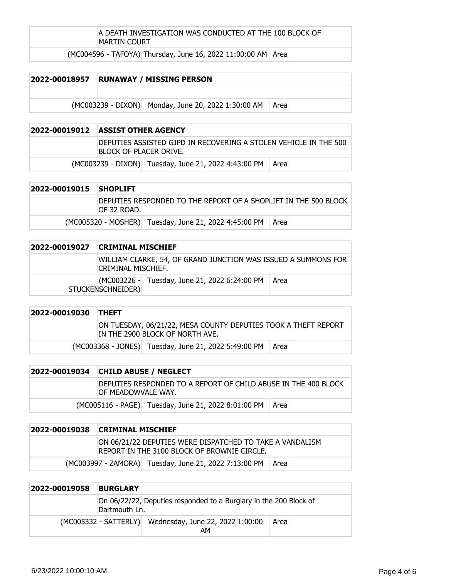#### A DEATH INVESTIGATION WAS CONDUCTED AT THE 100 BLOCK OF MARTIN COURT

 $(MCOO4596 - TAFOYA)$  Thursday, June 16, 2022 11:00:00 AM Area

#### **2022-00018957 RUNAWAY / MISSING PERSON**

 $(MCO03239 - DIXON)$  Monday, June 20, 2022 1:30:00 AM Area

#### **2022-00019012 ASSIST OTHER AGENCY**

DEPUTIES ASSISTED GJPD IN RECOVERING A STOLEN VEHICLE IN THE 500 BLOCK OF PLACER DRIVE.

 $(MCOO3239 - DIXON)$  Tuesday, June 21, 2022 4:43:00 PM  $|$  Area

| 2022-00019015 | <b>SHOPLIFT</b>                                                                 |                                                              |  |
|---------------|---------------------------------------------------------------------------------|--------------------------------------------------------------|--|
|               | DEPUTIES RESPONDED TO THE REPORT OF A SHOPLIFT IN THE 500 BLOCK<br>IOF 32 ROAD. |                                                              |  |
|               |                                                                                 | (MC005320 - MOSHER) Tuesday, June 21, 2022 4:45:00 PM   Area |  |

| 2022-00019027 | <b>CRIMINAL MISCHIEF</b>                                                                    |      |  |
|---------------|---------------------------------------------------------------------------------------------|------|--|
|               | WILLIAM CLARKE, 54, OF GRAND JUNCTION WAS ISSUED A SUMMONS FOR<br><b>CRIMINAL MISCHIEF.</b> |      |  |
|               | (MC003226 - Tuesday, June 21, 2022 6:24:00 PM<br>STUCKENSCHNEIDER)                          | Area |  |

| 2022-00019030 THEFT |                                                                                                   |  |
|---------------------|---------------------------------------------------------------------------------------------------|--|
|                     | ON TUESDAY, 06/21/22, MESA COUNTY DEPUTIES TOOK A THEFT REPORT<br>IN THE 2900 BLOCK OF NORTH AVE. |  |
|                     | (MC003368 - JONES) Tuesday, June 21, 2022 5:49:00 PM   Area                                       |  |

| 2022-00019034 CHILD ABUSE / NEGLECT                                                   |                                                            |  |
|---------------------------------------------------------------------------------------|------------------------------------------------------------|--|
| DEPUTIES RESPONDED TO A REPORT OF CHILD ABUSE IN THE 400 BLOCK<br>IOF MEADOWVALE WAY. |                                                            |  |
|                                                                                       | (MC005116 - PAGE) Tuesday, June 21, 2022 8:01:00 PM   Area |  |

| 2022-00019038 | <b>CRIMINAL MISCHIEF</b> |                                                                                                         |  |
|---------------|--------------------------|---------------------------------------------------------------------------------------------------------|--|
|               |                          | ON 06/21/22 DEPUTIES WERE DISPATCHED TO TAKE A VANDALISM<br>REPORT IN THE 3100 BLOCK OF BROWNIE CIRCLE. |  |
|               |                          | (MC003997 - ZAMORA) Tuesday, June 21, 2022 7:13:00 PM   Area                                            |  |

| 2022-00019058 | <b>BURGLARY</b>                                                                    |  |      |
|---------------|------------------------------------------------------------------------------------|--|------|
|               | On 06/22/22, Deputies responded to a Burglary in the 200 Block of<br>Dartmouth Ln. |  |      |
|               | (MC005332 - SATTERLY) Wednesday, June 22, 2022 1:00:00<br>AΜ                       |  | Area |